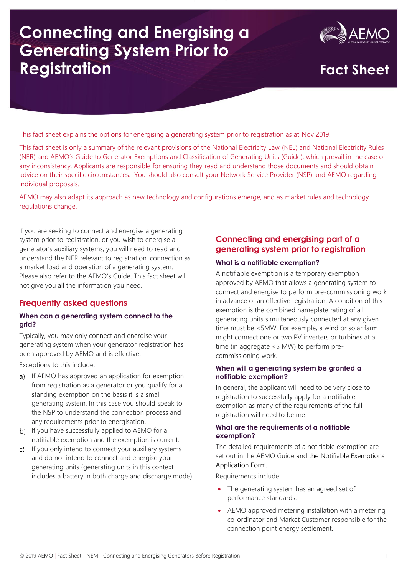# **Connecting and Energising a Generating System Prior to Registration Fact Sheet**



This fact sheet explains the options for energising a generating system prior to registration as at Nov 2019.

This fact sheet is only a summary of the relevant provisions of the National Electricity Law (NEL) and National Electricity Rules (NER) and AEMO's Guide to Generator Exemptions and Classification of Generating Units (Guide), which prevail in the case of any inconsistency. Applicants are responsible for ensuring they read and understand those documents and should obtain advice on their specific circumstances. You should also consult your Network Service Provider (NSP) and AEMO regarding individual proposals.

AEMO may also adapt its approach as new technology and configurations emerge, and as market rules and technology regulations change.

If you are seeking to connect and energise a generating system prior to registration, or you wish to energise a generator's auxiliary systems, you will need to read and understand the NER relevant to registration, connection as a market load and operation of a generating system. Please also refer to the AEMO's Guide. This fact sheet will not give you all the information you need.

# **Frequently asked questions**

### **When can a generating system connect to the grid?**

Typically, you may only connect and energise your generating system when your generator registration has been approved by AEMO and is effective.

Exceptions to this include:

- a) If AEMO has approved an application for exemption from registration as a generator or you qualify for a standing exemption on the basis it is a small generating system. In this case you should speak to the NSP to understand the connection process and any requirements prior to energisation.
- b) If you have successfully applied to AEMO for a notifiable exemption and the exemption is current.
- c) If you only intend to connect your auxiliary systems and do not intend to connect and energise your generating units (generating units in this context includes a battery in both charge and discharge mode).

## **Connecting and energising part of a generating system prior to registration**

### **What is a notifiable exemption?**

A notifiable exemption is a temporary exemption approved by AEMO that allows a generating system to connect and energise to perform pre-commissioning work in advance of an effective registration. A condition of this exemption is the combined nameplate rating of all generating units simultaneously connected at any given time must be <5MW. For example, a wind or solar farm might connect one or two PV inverters or turbines at a time (in aggregate <5 MW) to perform precommissioning work.

### **When will a generating system be granted a notifiable exemption?**

In general, the applicant will need to be very close to registration to successfully apply for a notifiable exemption as many of the requirements of the full registration will need to be met.

### **What are the requirements of a notifiable exemption?**

The detailed requirements of a notifiable exemption are set out in the AEMO Guide and the Notifiable Exemptions Application Form.

Requirements include:

- The generating system has an agreed set of performance standards.
- AEMO approved metering installation with a metering co-ordinator and Market Customer responsible for the connection point energy settlement.